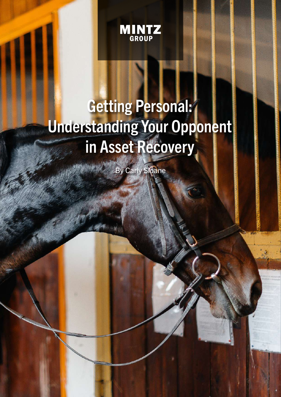

## Getting Personal: Understanding Your Opponent in Asset Recovery

By Carly Sloane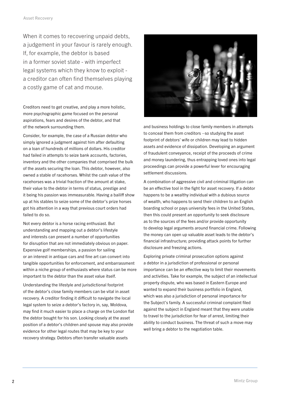When it comes to recovering unpaid debts, a judgement in your favour is rarely enough. If, for example, the debtor is based in a former soviet state - with imperfect legal systems which they know to exploit a creditor can often find themselves playing a costly game of cat and mouse.

Creditors need to get creative, and play a more holistic, more psychographic game focused on the personal aspirations, fears and desires of the debtor, and that of the network surrounding them.

Consider, for example, the case of a Russian debtor who simply ignored a judgment against him after defaulting on a loan of hundreds of millions of dollars. His creditor had failed in attempts to seize bank accounts, factories, inventory and the other companies that comprised the bulk of the assets securing the loan. This debtor, however, also owned a stable of racehorses. Whilst the cash value of the racehorses was a trivial fraction of the amount at stake, their value to the debtor in terms of status, prestige and it being his passion was immeasurable. Having a bailiff show up at his stables to seize some of the debtor's prize horses got his attention in a way that previous court orders had failed to do so.

Not every debtor is a horse racing enthusiast. But understanding and mapping out a debtor's lifestyle and interests can present a number of opportunities for disruption that are not immediately obvious on paper. Expensive golf memberships, a passion for sailing or an interest in antique cars and fine art can convert into tangible opportunities for enforcement, and embarrassment within a niche group of enthusiasts where status can be more important to the debtor than the asset value itself.

Understanding the lifestyle and jurisdictional footprint of the debtor's close family members can be vital in asset recovery. A creditor finding it difficult to navigate the local legal system to seize a debtor's factory in, say, Moldova, may find it much easier to place a charge on the London flat the debtor bought for his son. Looking closely at the asset position of a debtor's children and spouse may also provide evidence for other legal routes that may be key to your recovery strategy. Debtors often transfer valuable assets



and business holdings to close family members in attempts to conceal them from creditors –so studying the asset footprint of debtors' wife or children may lead to hidden assets and evidence of dissipation. Developing an argument of fraudulent conveyance, receipt of the proceeds of crime and money laundering, thus entrapping loved ones into legal proceedings can provide a powerful lever for encouraging settlement discussions.

A combination of aggressive civil and criminal litigation can be an effective tool in the fight for asset recovery. If a debtor happens to be a wealthy individual with a dubious source of wealth, who happens to send their children to an English boarding school or pays university fees in the United States, then this could present an opportunity to seek disclosure as to the sources of the fees and/or provide opportunity to develop legal arguments around financial crime. Following the money can open up valuable asset leads to the debtor's financial infrastructure; providing attack points for further disclosure and freezing actions.

Exploring private criminal prosecution options against a debtor in a jurisdiction of professional or personal importance can be an effective way to limit their movements and activities. Take for example, the subject of an intellectual property dispute, who was based in Eastern Europe and wanted to expand their business portfolio in England, which was also a jurisdiction of personal importance for the Subject's family. A successful criminal complaint filed against the subject in England meant that they were unable to travel to the jurisdiction for fear of arrest, limiting their ability to conduct business. The threat of such a move may well bring a debtor to the negotiation table.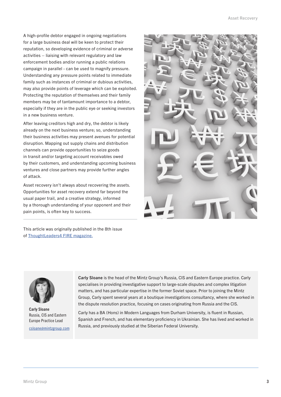A high-profile debtor engaged in ongoing negotiations for a large business deal will be keen to protect their reputation, so developing evidence of criminal or adverse activities – liaising with relevant regulatory and law enforcement bodies and/or running a public relations campaign in parallel - can be used to magnify pressure. Understanding any pressure points related to immediate family such as instances of criminal or dubious activities, may also provide points of leverage which can be exploited. Protecting the reputation of themselves and their family members may be of tantamount importance to a debtor, especially if they are in the public eye or seeking investors in a new business venture.

After leaving creditors high and dry, the debtor is likely already on the next business venture; so, understanding their business activities may present avenues for potential disruption. Mapping out supply chains and distribution channels can provide opportunities to seize goods in transit and/or targeting account receivables owed by their customers, and understanding upcoming business ventures and close partners may provide further angles of attack.

Asset recovery isn't always about recovering the assets. Opportunities for asset recovery extend far beyond the usual paper trail, and a creative strategy, informed by a thorough understanding of your opponent and their pain points, is often key to success.

This article was originally published in the 8th issue of [ThoughtLeaders4 FIRE magazine.](https://thoughtleaders4.com/images/uploads/news/TL4_FIRE_Magazine_Issue_8_1.pdf)





Carly Sloane Russia, CIS and Eastern Europe Practice Lead

csloane@mintzgroup.com

Carly Sloane is the head of the Mintz Group's Russia, CIS and Eastern Europe practice. Carly specialises in providing investigative support to large-scale disputes and complex litigation matters, and has particular expertise in the former Soviet space. Prior to joining the Mintz Group, Carly spent several years at a boutique investigations consultancy, where she worked in the dispute resolution practice, focusing on cases originating from Russia and the CIS.

Carly has a BA (Hons) in Modern Languages from Durham University, is fluent in Russian, Spanish and French, and has elementary proficiency in Ukrainian. She has lived and worked in Russia, and previously studied at the Siberian Federal University.